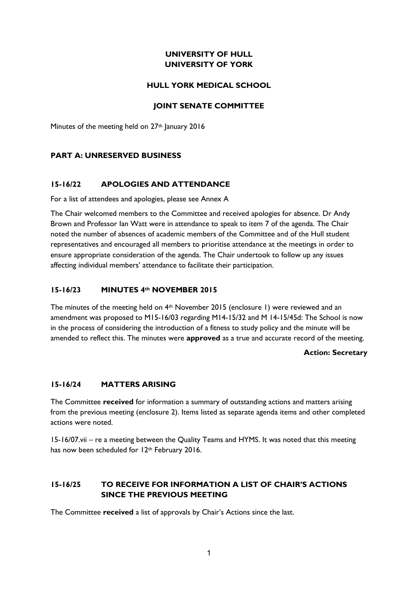# **UNIVERSITY OF HULL UNIVERSITY OF YORK**

## **HULL YORK MEDICAL SCHOOL**

## **JOINT SENATE COMMITTEE**

Minutes of the meeting held on 27<sup>th</sup> January 2016

# **PART A: UNRESERVED BUSINESS**

# **15-16/22 APOLOGIES AND ATTENDANCE**

For a list of attendees and apologies, please see Annex A

The Chair welcomed members to the Committee and received apologies for absence. Dr Andy Brown and Professor Ian Watt were in attendance to speak to item 7 of the agenda. The Chair noted the number of absences of academic members of the Committee and of the Hull student representatives and encouraged all members to prioritise attendance at the meetings in order to ensure appropriate consideration of the agenda. The Chair undertook to follow up any issues affecting individual members' attendance to facilitate their participation.

### **15-16/23 MINUTES 4th NOVEMBER 2015**

The minutes of the meeting held on 4th November 2015 (enclosure 1) were reviewed and an amendment was proposed to M15-16/03 regarding M14-15/32 and M 14-15/45d: The School is now in the process of considering the introduction of a fitness to study policy and the minute will be amended to reflect this. The minutes were **approved** as a true and accurate record of the meeting.

### **Action: Secretary**

### **15-16/24 MATTERS ARISING**

The Committee **received** for information a summary of outstanding actions and matters arising from the previous meeting (enclosure 2). Items listed as separate agenda items and other completed actions were noted.

15-16/07.vii – re a meeting between the Quality Teams and HYMS. It was noted that this meeting has now been scheduled for 12<sup>th</sup> February 2016.

# **15-16/25 TO RECEIVE FOR INFORMATION A LIST OF CHAIR'S ACTIONS SINCE THE PREVIOUS MEETING**

The Committee **received** a list of approvals by Chair's Actions since the last.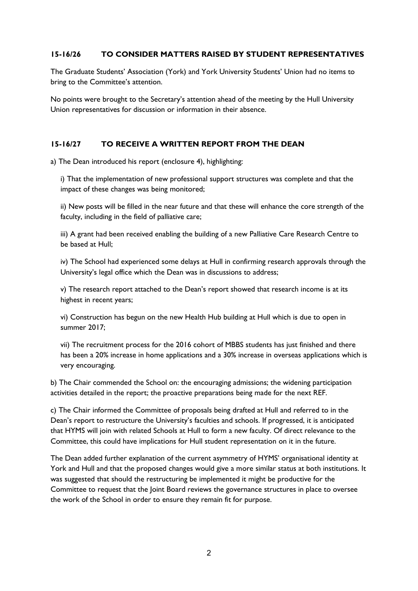## **15-16/26 TO CONSIDER MATTERS RAISED BY STUDENT REPRESENTATIVES**

The Graduate Students' Association (York) and York University Students' Union had no items to bring to the Committee's attention.

No points were brought to the Secretary's attention ahead of the meeting by the Hull University Union representatives for discussion or information in their absence.

# **15-16/27 TO RECEIVE A WRITTEN REPORT FROM THE DEAN**

a) The Dean introduced his report (enclosure 4), highlighting:

i) That the implementation of new professional support structures was complete and that the impact of these changes was being monitored;

ii) New posts will be filled in the near future and that these will enhance the core strength of the faculty, including in the field of palliative care;

iii) A grant had been received enabling the building of a new Palliative Care Research Centre to be based at Hull;

iv) The School had experienced some delays at Hull in confirming research approvals through the University's legal office which the Dean was in discussions to address;

v) The research report attached to the Dean's report showed that research income is at its highest in recent years;

vi) Construction has begun on the new Health Hub building at Hull which is due to open in summer 2017;

vii) The recruitment process for the 2016 cohort of MBBS students has just finished and there has been a 20% increase in home applications and a 30% increase in overseas applications which is very encouraging.

b) The Chair commended the School on: the encouraging admissions; the widening participation activities detailed in the report; the proactive preparations being made for the next REF.

c) The Chair informed the Committee of proposals being drafted at Hull and referred to in the Dean's report to restructure the University's faculties and schools. If progressed, it is anticipated that HYMS will join with related Schools at Hull to form a new faculty. Of direct relevance to the Committee, this could have implications for Hull student representation on it in the future.

The Dean added further explanation of the current asymmetry of HYMS' organisational identity at York and Hull and that the proposed changes would give a more similar status at both institutions. It was suggested that should the restructuring be implemented it might be productive for the Committee to request that the Joint Board reviews the governance structures in place to oversee the work of the School in order to ensure they remain fit for purpose.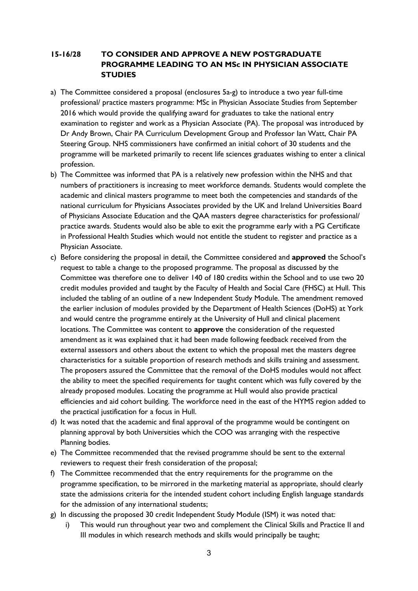# **15-16/28 TO CONSIDER AND APPROVE A NEW POSTGRADUATE PROGRAMME LEADING TO AN MSc IN PHYSICIAN ASSOCIATE STUDIES**

- a) The Committee considered a proposal (enclosures 5a-g) to introduce a two year full-time professional/ practice masters programme: MSc in Physician Associate Studies from September 2016 which would provide the qualifying award for graduates to take the national entry examination to register and work as a Physician Associate (PA). The proposal was introduced by Dr Andy Brown, Chair PA Curriculum Development Group and Professor Ian Watt, Chair PA Steering Group. NHS commissioners have confirmed an initial cohort of 30 students and the programme will be marketed primarily to recent life sciences graduates wishing to enter a clinical profession.
- b) The Committee was informed that PA is a relatively new profession within the NHS and that numbers of practitioners is increasing to meet workforce demands. Students would complete the academic and clinical masters programme to meet both the competencies and standards of the national curriculum for Physicians Associates provided by the UK and Ireland Universities Board of Physicians Associate Education and the QAA masters degree characteristics for professional/ practice awards. Students would also be able to exit the programme early with a PG Certificate in Professional Health Studies which would not entitle the student to register and practice as a Physician Associate.
- c) Before considering the proposal in detail, the Committee considered and **approved** the School's request to table a change to the proposed programme. The proposal as discussed by the Committee was therefore one to deliver 140 of 180 credits within the School and to use two 20 credit modules provided and taught by the Faculty of Health and Social Care (FHSC) at Hull. This included the tabling of an outline of a new Independent Study Module. The amendment removed the earlier inclusion of modules provided by the Department of Health Sciences (DoHS) at York and would centre the programme entirely at the University of Hull and clinical placement locations. The Committee was content to **approve** the consideration of the requested amendment as it was explained that it had been made following feedback received from the external assessors and others about the extent to which the proposal met the masters degree characteristics for a suitable proportion of research methods and skills training and assessment. The proposers assured the Committee that the removal of the DoHS modules would not affect the ability to meet the specified requirements for taught content which was fully covered by the already proposed modules. Locating the programme at Hull would also provide practical efficiencies and aid cohort building. The workforce need in the east of the HYMS region added to the practical justification for a focus in Hull.
- d) It was noted that the academic and final approval of the programme would be contingent on planning approval by both Universities which the COO was arranging with the respective Planning bodies.
- e) The Committee recommended that the revised programme should be sent to the external reviewers to request their fresh consideration of the proposal;
- f) The Committee recommended that the entry requirements for the programme on the programme specification, to be mirrored in the marketing material as appropriate, should clearly state the admissions criteria for the intended student cohort including English language standards for the admission of any international students;
- g) In discussing the proposed 30 credit Independent Study Module (ISM) it was noted that:
	- i) This would run throughout year two and complement the Clinical Skills and Practice II and III modules in which research methods and skills would principally be taught;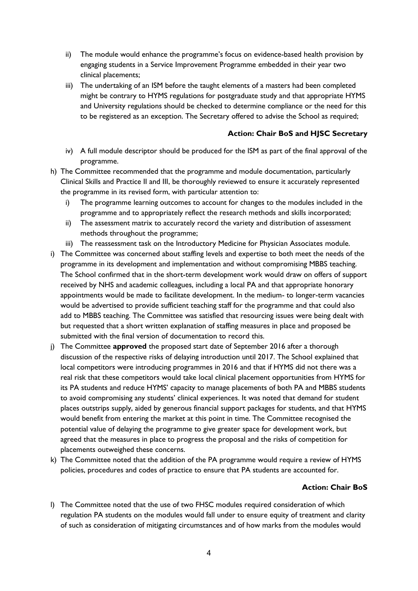- ii) The module would enhance the programme's focus on evidence-based health provision by engaging students in a Service Improvement Programme embedded in their year two clinical placements;
- iii) The undertaking of an ISM before the taught elements of a masters had been completed might be contrary to HYMS regulations for postgraduate study and that appropriate HYMS and University regulations should be checked to determine compliance or the need for this to be registered as an exception. The Secretary offered to advise the School as required;

## **Action: Chair BoS and HJSC Secretary**

- iv) A full module descriptor should be produced for the ISM as part of the final approval of the programme.
- h) The Committee recommended that the programme and module documentation, particularly Clinical Skills and Practice II and III, be thoroughly reviewed to ensure it accurately represented the programme in its revised form, with particular attention to:
	- i) The programme learning outcomes to account for changes to the modules included in the programme and to appropriately reflect the research methods and skills incorporated;
	- ii) The assessment matrix to accurately record the variety and distribution of assessment methods throughout the programme;
	- iii) The reassessment task on the Introductory Medicine for Physician Associates module.
- i) The Committee was concerned about staffing levels and expertise to both meet the needs of the programme in its development and implementation and without compromising MBBS teaching. The School confirmed that in the short-term development work would draw on offers of support received by NHS and academic colleagues, including a local PA and that appropriate honorary appointments would be made to facilitate development. In the medium- to longer-term vacancies would be advertised to provide sufficient teaching staff for the programme and that could also add to MBBS teaching. The Committee was satisfied that resourcing issues were being dealt with but requested that a short written explanation of staffing measures in place and proposed be submitted with the final version of documentation to record this.
- j) The Committee **approved** the proposed start date of September 2016 after a thorough discussion of the respective risks of delaying introduction until 2017. The School explained that local competitors were introducing programmes in 2016 and that if HYMS did not there was a real risk that these competitors would take local clinical placement opportunities from HYMS for its PA students and reduce HYMS' capacity to manage placements of both PA and MBBS students to avoid compromising any students' clinical experiences. It was noted that demand for student places outstrips supply, aided by generous financial support packages for students, and that HYMS would benefit from entering the market at this point in time. The Committee recognised the potential value of delaying the programme to give greater space for development work, but agreed that the measures in place to progress the proposal and the risks of competition for placements outweighed these concerns.
- k) The Committee noted that the addition of the PA programme would require a review of HYMS policies, procedures and codes of practice to ensure that PA students are accounted for.

### **Action: Chair BoS**

l) The Committee noted that the use of two FHSC modules required consideration of which regulation PA students on the modules would fall under to ensure equity of treatment and clarity of such as consideration of mitigating circumstances and of how marks from the modules would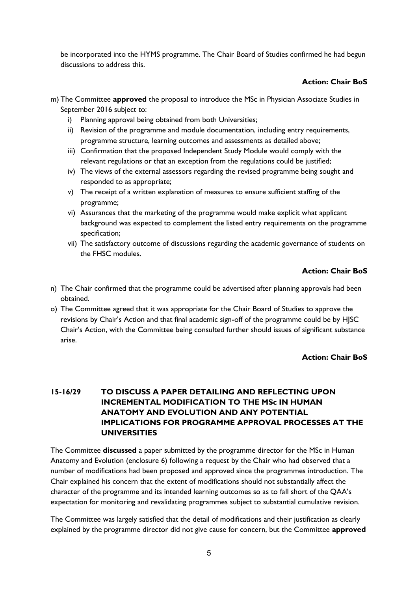be incorporated into the HYMS programme. The Chair Board of Studies confirmed he had begun discussions to address this.

# **Action: Chair BoS**

- m) The Committee **approved** the proposal to introduce the MSc in Physician Associate Studies in September 2016 subject to:
	- i) Planning approval being obtained from both Universities;
	- ii) Revision of the programme and module documentation, including entry requirements, programme structure, learning outcomes and assessments as detailed above;
	- iii) Confirmation that the proposed Independent Study Module would comply with the relevant regulations or that an exception from the regulations could be justified;
	- iv) The views of the external assessors regarding the revised programme being sought and responded to as appropriate;
	- v) The receipt of a written explanation of measures to ensure sufficient staffing of the programme;
	- vi) Assurances that the marketing of the programme would make explicit what applicant background was expected to complement the listed entry requirements on the programme specification;
	- vii) The satisfactory outcome of discussions regarding the academic governance of students on the FHSC modules.

# **Action: Chair BoS**

- n) The Chair confirmed that the programme could be advertised after planning approvals had been obtained.
- o) The Committee agreed that it was appropriate for the Chair Board of Studies to approve the revisions by Chair's Action and that final academic sign-off of the programme could be by HJSC Chair's Action, with the Committee being consulted further should issues of significant substance arise.

# **Action: Chair BoS**

# **15-16/29 TO DISCUSS A PAPER DETAILING AND REFLECTING UPON INCREMENTAL MODIFICATION TO THE MSc IN HUMAN ANATOMY AND EVOLUTION AND ANY POTENTIAL IMPLICATIONS FOR PROGRAMME APPROVAL PROCESSES AT THE UNIVERSITIES**

The Committee **discussed** a paper submitted by the programme director for the MSc in Human Anatomy and Evolution (enclosure 6) following a request by the Chair who had observed that a number of modifications had been proposed and approved since the programmes introduction. The Chair explained his concern that the extent of modifications should not substantially affect the character of the programme and its intended learning outcomes so as to fall short of the QAA's expectation for monitoring and revalidating programmes subject to substantial cumulative revision.

The Committee was largely satisfied that the detail of modifications and their justification as clearly explained by the programme director did not give cause for concern, but the Committee **approved**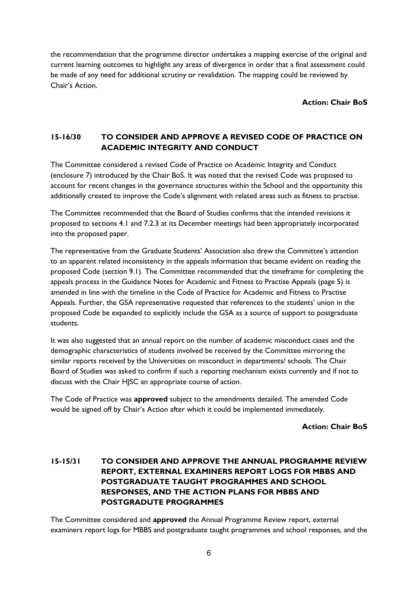the recommendation that the programme director undertakes a mapping exercise of the original and current learning outcomes to highlight any areas of divergence in order that a final assessment could be made of any need for additional scrutiny or revalidation. The mapping could be reviewed by Chair's Action.

**Action: Chair BoS**

# **15-16/30 TO CONSIDER AND APPROVE A REVISED CODE OF PRACTICE ON ACADEMIC INTEGRITY AND CONDUCT**

The Committee considered a revised Code of Practice on Academic Integrity and Conduct (enclosure 7) introduced by the Chair BoS. It was noted that the revised Code was proposed to account for recent changes in the governance structures within the School and the opportunity this additionally created to improve the Code's alignment with related areas such as fitness to practise.

The Committee recommended that the Board of Studies confirms that the intended revisions it proposed to sections 4.1 and 7.2.3 at its December meetings had been appropriately incorporated into the proposed paper.

The representative from the Graduate Students' Association also drew the Committee's attention to an apparent related inconsistency in the appeals information that became evident on reading the proposed Code (section 9.1). The Committee recommended that the timeframe for completing the appeals process in the Guidance Notes for Academic and Fitness to Practise Appeals (page 5) is amended in line with the timeline in the Code of Practice for Academic and Fitness to Practise Appeals. Further, the GSA representative requested that references to the students' union in the proposed Code be expanded to explicitly include the GSA as a source of support to postgraduate students.

It was also suggested that an annual report on the number of academic misconduct cases and the demographic characteristics of students involved be received by the Committee mirroring the similar reports received by the Universities on misconduct in departments/ schools. The Chair Board of Studies was asked to confirm if such a reporting mechanism exists currently and if not to discuss with the Chair HJSC an appropriate course of action.

The Code of Practice was **approved** subject to the amendments detailed. The amended Code would be signed off by Chair's Action after which it could be implemented immediately.

**Action: Chair BoS**

# **15-15/31 TO CONSIDER AND APPROVE THE ANNUAL PROGRAMME REVIEW REPORT, EXTERNAL EXAMINERS REPORT LOGS FOR MBBS AND POSTGRADUATE TAUGHT PROGRAMMES AND SCHOOL RESPONSES, AND THE ACTION PLANS FOR MBBS AND POSTGRADUTE PROGRAMMES**

The Committee considered and **approved** the Annual Programme Review report, external examiners report logs for MBBS and postgraduate taught programmes and school responses, and the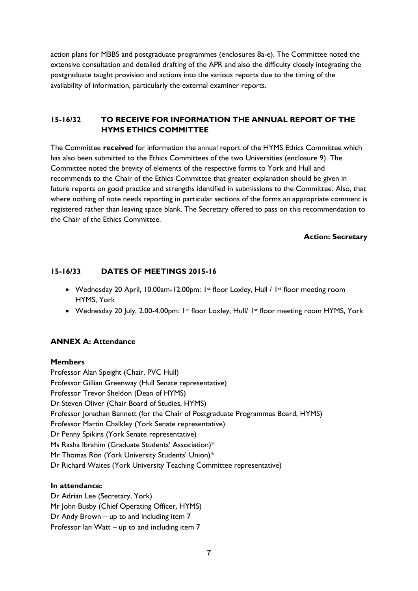action plans for MBBS and postgraduate programmes (enclosures 8a-e). The Committee noted the extensive consultation and detailed drafting of the APR and also the difficulty closely integrating the postgraduate taught provision and actions into the various reports due to the timing of the availability of information, particularly the external examiner reports.

# **15-16/32 TO RECEIVE FOR INFORMATION THE ANNUAL REPORT OF THE HYMS ETHICS COMMITTEE**

The Committee **received** for information the annual report of the HYMS Ethics Committee which has also been submitted to the Ethics Committees of the two Universities (enclosure 9). The Committee noted the brevity of elements of the respective forms to York and Hull and recommends to the Chair of the Ethics Committee that greater explanation should be given in future reports on good practice and strengths identified in submissions to the Committee. Also, that where nothing of note needs reporting in particular sections of the forms an appropriate comment is registered rather than leaving space blank. The Secretary offered to pass on this recommendation to the Chair of the Ethics Committee.

#### **Action: Secretary**

### **15-16/33 DATES OF MEETINGS 2015-16**

- Wednesday 20 April, 10.00am-12.00pm: 1st floor Loxley, Hull / 1st floor meeting room HYMS, York
- Wednesday 20 July, 2.00-4.00pm: 1st floor Loxley, Hull/ 1st floor meeting room HYMS, York

### **ANNEX A: Attendance**

#### **Members**

Professor Alan Speight (Chair, PVC Hull) Professor Gillian Greenway (Hull Senate representative) Professor Trevor Sheldon (Dean of HYMS) Dr Steven Oliver (Chair Board of Studies, HYMS) Professor Jonathan Bennett (for the Chair of Postgraduate Programmes Board, HYMS) Professor Martin Chalkley (York Senate representative) Dr Penny Spikins (York Senate representative) Ms Rasha Ibrahim (Graduate Students' Association)\* Mr Thomas Ron (York University Students' Union)\* Dr Richard Waites (York University Teaching Committee representative)

#### **In attendance:**

Dr Adrian Lee (Secretary, York) Mr John Busby (Chief Operating Officer, HYMS) Dr Andy Brown – up to and including item 7 Professor Ian Watt – up to and including item 7